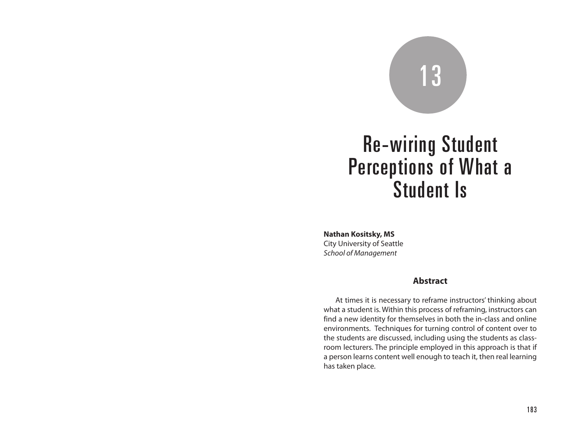# 13

# Re-wiring Student Perceptions of What a Student Is

**Nathan Kositsky, MS**

City University of Seattle *School of Management*

### **Abstract**

At times it is necessary to reframe instructors' thinking about what a student is. Within this process of reframing, instructors can find a new identity for themselves in both the in-class and online environments. Techniques for turning control of content over to the students are discussed, including using the students as classroom lecturers. The principle employed in this approach is that if a person learns content well enough to teach it, then real learning has taken place.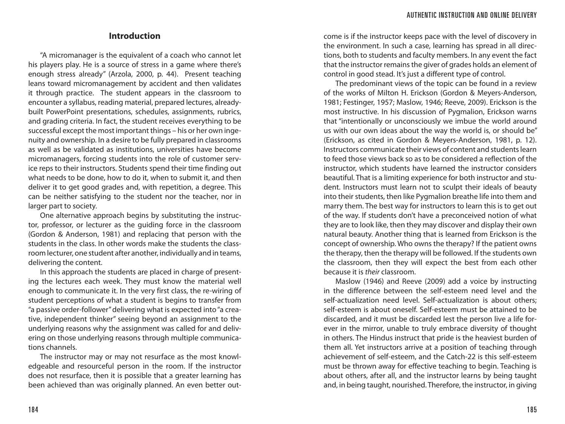### **Introduction**

"A micromanager is the equivalent of a coach who cannot let his players play. He is a source of stress in a game where there's enough stress already" (Arzola, 2000, p. 44). Present teaching leans toward micromanagement by accident and then validates it through practice. The student appears in the classroom to encounter a syllabus, reading material, prepared lectures, alreadybuilt PowerPoint presentations, schedules, assignments, rubrics, and grading criteria. In fact, the student receives everything to be successful except the most important things – his or her own ingenuity and ownership. In a desire to be fully prepared in classrooms as well as be validated as institutions, universities have become micromanagers, forcing students into the role of customer service reps to their instructors. Students spend their time finding out what needs to be done, how to do it, when to submit it, and then deliver it to get good grades and, with repetition, a degree. This can be neither satisfying to the student nor the teacher, nor in larger part to society.

One alternative approach begins by substituting the instructor, professor, or lecturer as the guiding force in the classroom (Gordon & Anderson, 1981) and replacing that person with the students in the class. In other words make the students the classroom lecturer, one student after another, individually and in teams, delivering the content.

In this approach the students are placed in charge of presenting the lectures each week. They must know the material well enough to communicate it. In the very first class, the re-wiring of student perceptions of what a student is begins to transfer from "a passive order-follower" delivering what is expected into "a creative, independent thinker" seeing beyond an assignment to the underlying reasons why the assignment was called for and delivering on those underlying reasons through multiple communications channels.

The instructor may or may not resurface as the most knowledgeable and resourceful person in the room. If the instructor does not resurface, then it is possible that a greater learning has been achieved than was originally planned. An even better out-

come is if the instructor keeps pace with the level of discovery in the environment. In such a case, learning has spread in all directions, both to students and faculty members. In any event the fact that the instructor remains the giver of grades holds an element of control in good stead. It's just a different type of control.

The predominant views of the topic can be found in a review of the works of Milton H. Erickson (Gordon & Meyers-Anderson, 1981; Festinger, 1957; Maslow, 1946; Reeve, 2009). Erickson is the most instructive. In his discussion of Pygmalion, Erickson warns that "intentionally or unconsciously we imbue the world around us with our own ideas about the way the world is, or should be" (Erickson, as cited in Gordon & Meyers-Anderson, 1981, p. 12). Instructors communicate their views of content and students learn to feed those views back so as to be considered a reflection of the instructor, which students have learned the instructor considers beautiful. That is a limiting experience for both instructor and student. Instructors must learn not to sculpt their ideals of beauty into their students, then like Pygmalion breathe life into them and marry them. The best way for instructors to learn this is to get out of the way. If students don't have a preconceived notion of what they are to look like, then they may discover and display their own natural beauty. Another thing that is learned from Erickson is the concept of ownership. Who owns the therapy? If the patient owns the therapy, then the therapy will be followed. If the students own the classroom, then they will expect the best from each other because it is *their* classroom.

Maslow (1946) and Reeve (2009) add a voice by instructing in the difference between the self-esteem need level and the self-actualization need level. Self-actualization is about others; self-esteem is about oneself. Self-esteem must be attained to be discarded, and it must be discarded lest the person live a life forever in the mirror, unable to truly embrace diversity of thought in others. The Hindus instruct that pride is the heaviest burden of them all. Yet instructors arrive at a position of teaching through achievement of self-esteem, and the Catch-22 is this self-esteem must be thrown away for effective teaching to begin. Teaching is about others, after all, and the instructor learns by being taught and, in being taught, nourished. Therefore, the instructor, in giving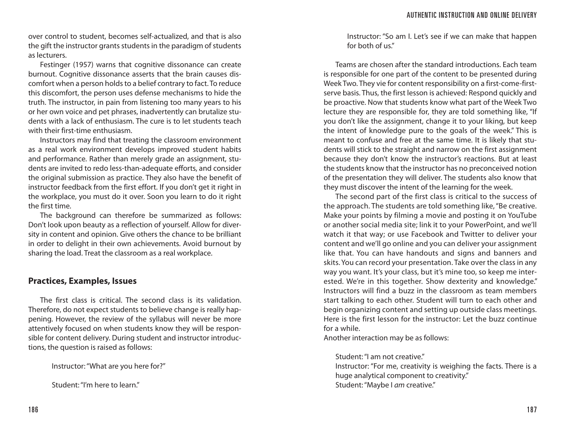over control to student, becomes self-actualized, and that is also the gift the instructor grants students in the paradigm of students as lecturers.

Festinger (1957) warns that cognitive dissonance can create burnout. Cognitive dissonance asserts that the brain causes discomfort when a person holds to a belief contrary to fact. To reduce this discomfort, the person uses defense mechanisms to hide the truth. The instructor, in pain from listening too many years to his or her own voice and pet phrases, inadvertently can brutalize students with a lack of enthusiasm. The cure is to let students teach with their first-time enthusiasm.

Instructors may find that treating the classroom environment as a real work environment develops improved student habits and performance. Rather than merely grade an assignment, students are invited to redo less-than-adequate efforts, and consider the original submission as practice. They also have the benefit of instructor feedback from the first effort. If you don't get it right in the workplace, you must do it over. Soon you learn to do it right the first time.

The background can therefore be summarized as follows: Don't look upon beauty as a reflection of yourself. Allow for diversity in content and opinion. Give others the chance to be brilliant in order to delight in their own achievements. Avoid burnout by sharing the load. Treat the classroom as a real workplace.

## **Practices, Examples, Issues**

The first class is critical. The second class is its validation. Therefore, do not expect students to believe change is really happening. However, the review of the syllabus will never be more attentively focused on when students know they will be responsible for content delivery. During student and instructor introductions, the question is raised as follows:

Instructor: "What are you here for?"

Student: "I'm here to learn."

Instructor: "So am I. Let's see if we can make that happen for both of us."

Teams are chosen after the standard introductions. Each team is responsible for one part of the content to be presented during Week Two. They vie for content responsibility on a first-come-firstserve basis. Thus, the first lesson is achieved: Respond quickly and be proactive. Now that students know what part of the Week Two lecture they are responsible for, they are told something like, "If you don't like the assignment, change it to your liking, but keep the intent of knowledge pure to the goals of the week." This is meant to confuse and free at the same time. It is likely that students will stick to the straight and narrow on the first assignment because they don't know the instructor's reactions. But at least the students know that the instructor has no preconceived notion of the presentation they will deliver. The students also know that they must discover the intent of the learning for the week.

The second part of the first class is critical to the success of the approach. The students are told something like, "Be creative. Make your points by filming a movie and posting it on YouTube or another social media site; link it to your PowerPoint, and we'll watch it that way; or use Facebook and Twitter to deliver your content and we'll go online and you can deliver your assignment like that. You can have handouts and signs and banners and skits. You can record your presentation. Take over the class in any way you want. It's your class, but it's mine too, so keep me interested. We're in this together. Show dexterity and knowledge." Instructors will find a buzz in the classroom as team members start talking to each other. Student will turn to each other and begin organizing content and setting up outside class meetings. Here is the first lesson for the instructor: Let the buzz continue for a while.

Another interaction may be as follows:

Student: "I am not creative."

Instructor: "For me, creativity is weighing the facts. There is a huge analytical component to creativity." Student: "Maybe I *am* creative."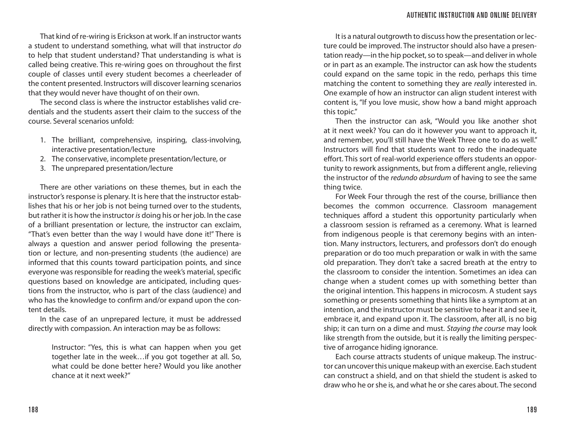That kind of re-wiring is Erickson at work. If an instructor wants a student to understand something, what will that instructor *do* to help that student understand? That understanding is what is called being creative. This re-wiring goes on throughout the first couple of classes until every student becomes a cheerleader of the content presented. Instructors will discover learning scenarios that they would never have thought of on their own.

The second class is where the instructor establishes valid credentials and the students assert their claim to the success of the course. Several scenarios unfold:

- 1. The brilliant, comprehensive, inspiring, class-involving, interactive presentation/lecture
- 2. The conservative, incomplete presentation/lecture, or
- 3. The unprepared presentation/lecture

There are other variations on these themes, but in each the instructor's response is plenary. It is here that the instructor establishes that his or her job is not being turned over to the students, but rather it is how the instructor *is* doing his or her job. In the case of a brilliant presentation or lecture, the instructor can exclaim, "That's even better than the way I would have done it!" There is always a question and answer period following the presentation or lecture, and non-presenting students (the audience) are informed that this counts toward participation points, and since everyone was responsible for reading the week's material, specific questions based on knowledge are anticipated, including questions from the instructor, who is part of the class (audience) and who has the knowledge to confirm and/or expand upon the content details.

In the case of an unprepared lecture, it must be addressed directly with compassion. An interaction may be as follows:

> Instructor: "Yes, this is what can happen when you get together late in the week…if you got together at all. So, what could be done better here? Would you like another chance at it next week?"

It is a natural outgrowth to discuss how the presentation or lecture could be improved. The instructor should also have a presentation ready—in the hip pocket, so to speak—and deliver in whole or in part as an example. The instructor can ask how the students could expand on the same topic in the redo, perhaps this time matching the content to something they are *really* interested in. One example of how an instructor can align student interest with content is, "If you love music, show how a band might approach this topic."

Then the instructor can ask, "Would you like another shot at it next week? You can do it however you want to approach it, and remember, you'll still have the Week Three one to do as well." Instructors will find that students want to redo the inadequate effort. This sort of real-world experience offers students an opportunity to rework assignments, but from a different angle, relieving the instructor of the *redundo absurdum* of having to see the same thing twice.

For Week Four through the rest of the course, brilliance then becomes the common occurrence. Classroom management techniques afford a student this opportunity particularly when a classroom session is reframed as a ceremony. What is learned from indigenous people is that ceremony begins with an intention. Many instructors, lecturers, and professors don't do enough preparation or do too much preparation or walk in with the same old preparation. They don't take a sacred breath at the entry to the classroom to consider the intention. Sometimes an idea can change when a student comes up with something better than the original intention. This happens in microcosm. A student says something or presents something that hints like a symptom at an intention, and the instructor must be sensitive to hear it and see it, embrace it, and expand upon it. The classroom, after all, is no big ship; it can turn on a dime and must. *Staying the course* may look like strength from the outside, but it is really the limiting perspective of arrogance hiding ignorance.

Each course attracts students of unique makeup. The instructor can uncover this unique makeup with an exercise. Each student can construct a shield, and on that shield the student is asked to draw who he or she is, and what he or she cares about. The second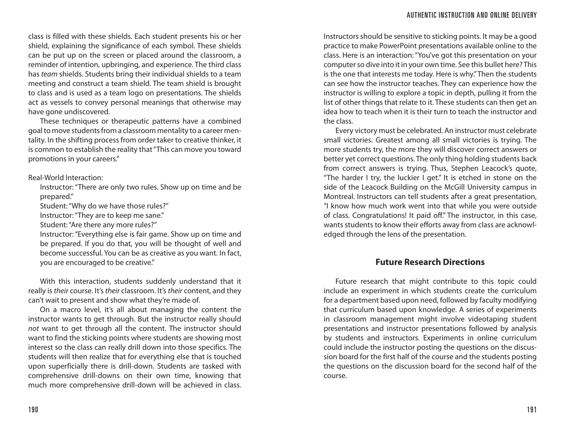class is filled with these shields. Each student presents his or her shield, explaining the significance of each symbol. These shields can be put up on the screen or placed around the classroom, a reminder of intention, upbringing, and experience. The third class has *team* shields. Students bring their individual shields to a team meeting and construct a team shield. The team shield is brought to class and is used as a team logo on presentations. The shields act as vessels to convey personal meanings that otherwise may have gone undiscovered.

These techniques or therapeutic patterns have a combined goal to move students from a classroom mentality to a career mentality. In the shifting process from order taker to creative thinker, it is common to establish the reality that "This can move you toward promotions in your careers."

Real-World Interaction:

Instructor: "There are only two rules. Show up on time and be prepared."

Student: "Why do we have those rules?"

Instructor: "They are to keep me sane."

Student: "Are there any more rules?"

Instructor: "Everything else is fair game. Show up on time and be prepared. If you do that, you will be thought of well and become successful. You can be as creative as you want. In fact, you are encouraged to be creative."

With this interaction, students suddenly understand that it really is *their* course. It's *their* classroom. It's *their* content, and they can't wait to present and show what they're made of.

On a macro level, it's all about managing the content the instructor wants to get through. But the instructor really should *not* want to get through all the content. The instructor should want to find the sticking points where students are showing most interest so the class can really drill down into those specifics. The students will then realize that for everything else that is touched upon superficially there is drill-down. Students are tasked with comprehensive drill-downs on their own time, knowing that much more comprehensive drill-down will be achieved in class.

Instructors should be sensitive to sticking points. It may be a good practice to make PowerPoint presentations available online to the class. Here is an interaction: "You've got this presentation on your computer so dive into it in your own time. See this bullet here? This is the one that interests me today. Here is why." Then the students can see how the instructor teaches. They can experience how the instructor is willing to explore a topic in depth, pulling it from the list of other things that relate to it. These students can then get an idea how to teach when it is their turn to teach the instructor and the class.

Every victory must be celebrated. An instructor must celebrate small victories. Greatest among all small victories is trying. The more students try, the more they will discover correct answers or better yet correct questions. The only thing holding students back from correct answers is trying. Thus, Stephen Leacock's quote, "The harder I try, the luckier I get." It is etched in stone on the side of the Leacock Building on the McGill University campus in Montreal. Instructors can tell students after a great presentation, "I know how much work went into that while you were outside of class. Congratulations! It paid off." The instructor, in this case, wants students to know their efforts away from class are acknowledged through the lens of the presentation.

# **Future Research Directions**

Future research that might contribute to this topic could include an experiment in which students create the curriculum for a department based upon need, followed by faculty modifying that curriculum based upon knowledge. A series of experiments in classroom management might involve videotaping student presentations and instructor presentations followed by analysis by students and instructors. Experiments in online curriculum could include the instructor posting the questions on the discussion board for the first half of the course and the students posting the questions on the discussion board for the second half of the course.